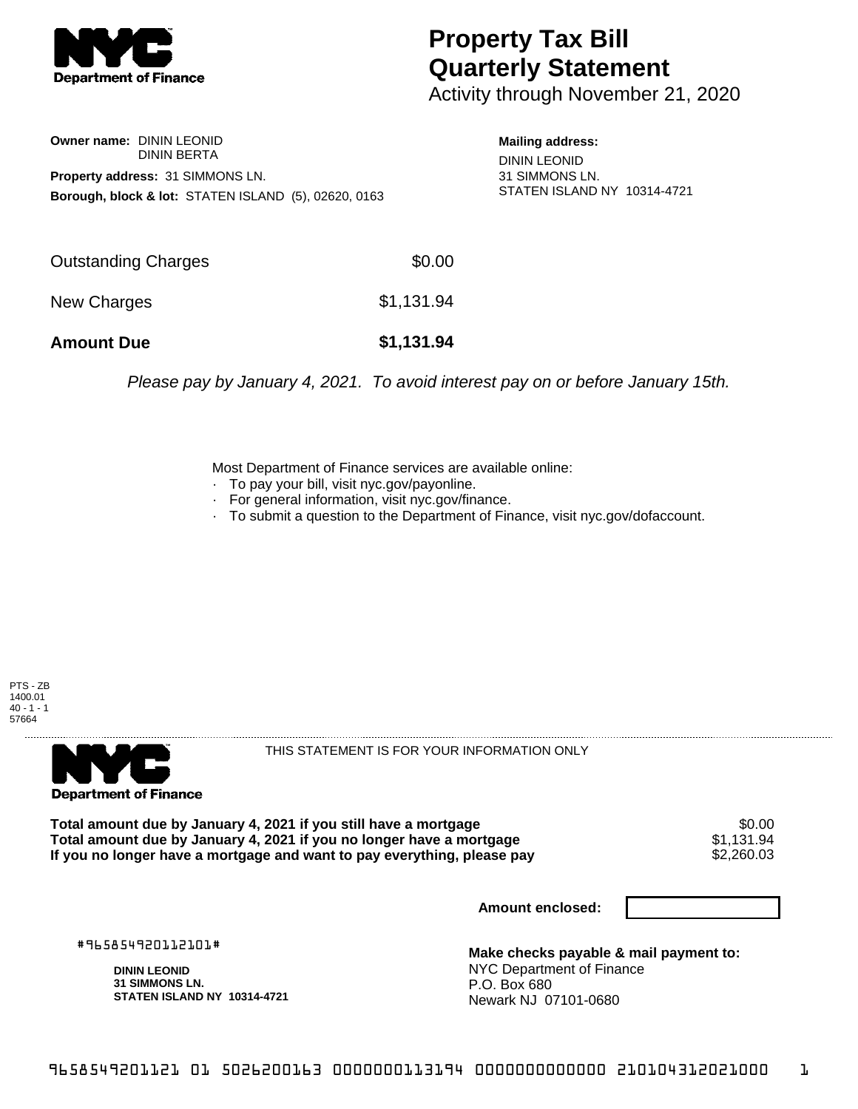

## **Property Tax Bill Quarterly Statement**

Activity through November 21, 2020

**Owner name:** DININ LEONID DININ BERTA **Property address:** 31 SIMMONS LN. **Borough, block & lot:** STATEN ISLAND (5), 02620, 0163

**Mailing address:** DININ LEONID 31 SIMMONS LN. STATEN ISLAND NY 10314-4721

| <b>Amount Due</b>   | \$1,131.94 |
|---------------------|------------|
| New Charges         | \$1,131.94 |
| Outstanding Charges | \$0.00     |

Please pay by January 4, 2021. To avoid interest pay on or before January 15th.

Most Department of Finance services are available online:

- · To pay your bill, visit nyc.gov/payonline.
- For general information, visit nyc.gov/finance.
- · To submit a question to the Department of Finance, visit nyc.gov/dofaccount.

PTS - ZB 1400.01  $40 - 1 - 1$ 57664



THIS STATEMENT IS FOR YOUR INFORMATION ONLY

Total amount due by January 4, 2021 if you still have a mortgage \$0.00<br>Total amount due by January 4, 2021 if you no longer have a mortgage \$1.131.94 **Total amount due by January 4, 2021 if you no longer have a mortgage**  $$1,131.94$$ **<br>If you no longer have a mortgage and want to pay everything, please pay**  $$2,260.03$$ If you no longer have a mortgage and want to pay everything, please pay

**Amount enclosed:**

#965854920112101#

**DININ LEONID 31 SIMMONS LN. STATEN ISLAND NY 10314-4721**

**Make checks payable & mail payment to:** NYC Department of Finance P.O. Box 680 Newark NJ 07101-0680